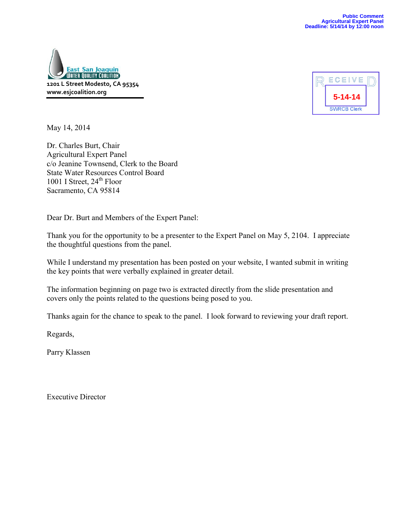



May 14, 2014

Dr. Charles Burt, Chair Agricultural Expert Panel c/o Jeanine Townsend, Clerk to the Board State Water Resources Control Board 1001 I Street,  $24<sup>th</sup>$  Floor Sacramento, CA 95814

Dear Dr. Burt and Members of the Expert Panel:

Thank you for the opportunity to be a presenter to the Expert Panel on May 5, 2104. I appreciate the thoughtful questions from the panel.

While I understand my presentation has been posted on your website, I wanted submit in writing the key points that were verbally explained in greater detail.

The information beginning on page two is extracted directly from the slide presentation and covers only the points related to the questions being posed to you.

Thanks again for the chance to speak to the panel. I look forward to reviewing your draft report.

Regards,

Parry Klassen

Executive Director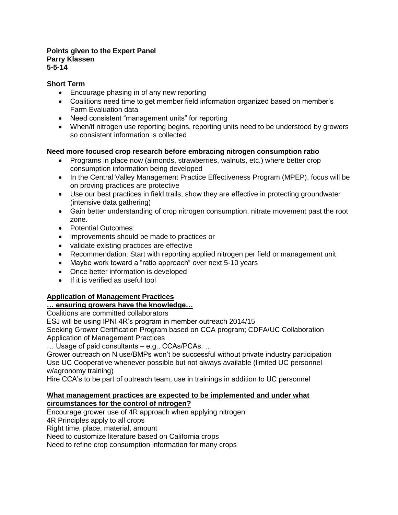#### **Points given to the Expert Panel Parry Klassen 5-5-14**

#### **Short Term**

- Encourage phasing in of any new reporting
- Coalitions need time to get member field information organized based on member's Farm Evaluation data
- Need consistent "management units" for reporting
- When/if nitrogen use reporting begins, reporting units need to be understood by growers so consistent information is collected

#### **Need more focused crop research before embracing nitrogen consumption ratio**

- Programs in place now (almonds, strawberries, walnuts, etc.) where better crop consumption information being developed
- In the Central Valley Management Practice Effectiveness Program (MPEP), focus will be on proving practices are protective
- Use our best practices in field trails; show they are effective in protecting groundwater (intensive data gathering)
- Gain better understanding of crop nitrogen consumption, nitrate movement past the root zone.
- Potential Outcomes:
- improvements should be made to practices or
- validate existing practices are effective
- Recommendation: Start with reporting applied nitrogen per field or management unit
- Maybe work toward a "ratio approach" over next 5-10 years
- Once better information is developed
- If it is verified as useful tool

## **Application of Management Practices**

#### **… ensuring growers have the knowledge…**

Coalitions are committed collaborators

ESJ will be using IPNI 4R's program in member outreach 2014/15

Seeking Grower Certification Program based on CCA program; CDFA/UC Collaboration Application of Management Practices

… Usage of paid consultants – e.g., CCAs/PCAs. …

Grower outreach on N use/BMPs won't be successful without private industry participation Use UC Cooperative whenever possible but not always available (limited UC personnel w/agronomy training)

Hire CCA's to be part of outreach team, use in trainings in addition to UC personnel

#### **What management practices are expected to be implemented and under what circumstances for the control of nitrogen?**

Encourage grower use of 4R approach when applying nitrogen

4R Principles apply to all crops

Right time, place, material, amount

Need to customize literature based on California crops

Need to refine crop consumption information for many crops